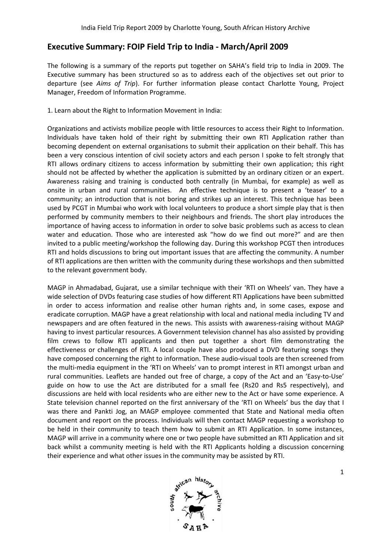## **Executive Summary: FOIP : Field Trip to India - March/April 2009**

The following is a summary of the reports put together on SAHA's field trip to India in 2009. The Executive summary has been structured so as to address each of the objectives set out prior to departure (see *Aims of Trip*). For further information please contact Charlotte Young, Project Manager, Freedom of Information Programme. departure (see Aims of Trip). For further information please contact Charlotte Young, Project<br>Manager, Freedom of Information Programme.<br>1. Learn about the Right to Information Movement in India:<br>Organizations and activist

1. Learn about the Right to Information Movement in India:

Individuals have taken hold of their right by submitting their own RTI Application rather than becoming dependent on external organisations to submit their application on their behalf. This has been a very conscious intention of civil society actors and each person I spoke to felt strongly that RTI allows ordinary citizens to access information by submitting their own application; this right been a very conscious intention of civil society actors and each person I spoke to felt strongly that<br>RTI allows ordinary citizens to access information by submitting their own application; this right<br>should not be affecte Awareness raising and training is conducted both centrally (in Mumbai, for example) as well as onsite in urban and rural communities. An effective technique is to present a 'teaser' to a community; an introduction that is not boring and strikes up an interest. This technique has been used by PCGT in Mumbai who work with local volunteers to produce a short simple play that is then performed by community members to their neighbours and friends. The short play introduces the importance of having access to information in order to solve basic problems such as access to clean<br>water and education. Those who are interested ask "how do we find out more?" and are then<br>invited to a public meeting/work water and education. Those who are interested ask "how do we find out more?" and are then invited to a public meeting/workshop the following day. During this wor RTI and holds discussions to bring out important issues that are affecting the community. A number of RTI applications are then written with the community during these workshops and then submitted to the relevant government body. body. rdinary citizen or an expert.<br>
bai, for example) as well as<br>
to present a 'teaser' to a<br>
st. This technique has been<br>
hort simple play that is then<br>
he short play introduces the<br>
lems such as access to clean<br>
d out more?"

MAGP in Ahmadabad, Gujarat, use a similar technique with their 'RTI on Wheels' van. wide selection of DVDs featuring case studies of how different RTI Applications have been submitted in order to access information and realise other human rights and, in some cases, expose and eradicate corruption. MAGP have a great relationship with local and national media including TV and newspapers and are often featured in the news. This assists with awareness-raising without MAGP having to invest particular resources. A Government television channel has also assisted by providing film crews to follow RTI applicants and then put together a short film demonstrating the effectiveness or challenges of RTI. A local couple have also produced a DVD featuring song having to invest particular resources. A Government television channel has also assisted by providing<br>film crews to follow RTI applicants and then put together a short film demonstrating the<br>effectiveness or challenges of the multi-media equipment in the 'RTI on Wheels' van to prompt interest in RTI amongst urban and<br>rural communities. Leaflets are handed out free of charge, a copy of the Act and an 'Easy-to-Use' rural communities. Leaflets are handed out free of charge, a copy of the Act and an 'Easy-to-Use' guide on how to use the Act are distributed for a small fee (Rs20 and Rs5 respectively), and discussions are held with local residents who are either new to the Act or have some experience. A State television channel reported on the first anniversary of the 'RTI on Wheels' bus the day that I was there and Pankti Jog, an MAGP employee commented that State and National media often document and report on the process. Individuals will then contact MAGP requesting a w be held in their community to teach them how to submit an RTI Application. In some instances, MAGP will arrive in a community where one or two people have submitted an RTI Application and sit back whilst a community meeting is held with the RTI Applicants holding a discussion concerning their experience and what other issues in the community may be assisted by RTI. annel reported on the first anniversary of the 'RTI on Wheels' bus the day that I<br>nkti Jog, an MAGP employee commented that State and National media often<br>ort on the process. Individuals will then contact MAGP requesting a hts and, in some cases, expose and<br>il and national media including TV and<br>with awareness-raising without MAGP<br>channel has also assisted by providing<br>er a short film demonstrating the<br>produced a DVD featuring songs they ese audio-visual tools are then screened from<br>to prompt interest in RTI amongst urban and<br>arge, a copy of the Act and an 'Easy-to-Use' workshop to

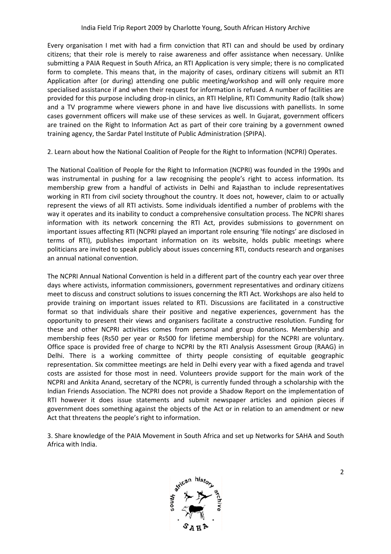Every organisation I met with had a firm conviction that RTI can and should be used by ordinary citizens; that their role is merely to raise awareness and offer assistance when necessary. Unlike submitting a PAIA Request in South Africa, an RTI Application is very simple; there is no complicated form to complete. This means that, in the majority of cases, ordinary citizens will submit an RTI Application after (or during) attending one public meeting/workshop and will only require more specialised assistance if and when their request for information is refused. A number of facilities are provided for this purpose including drop-in clinics, an RTI Helpline, RTI Community Radio (talk show) provided for this purpose including drop-in clinics, an RTI Helpline, RTI Community Radio (talk show)<br>and a TV programme where viewers phone in and have live discussions with panellists. In some cases government officers will make use of these services as well. In Gujarat, government officers are trained on the Right to Information Act as part of their core training by a government owned training agency, the Sardar Patel Institute of Public Administration (SPIPA).

2. Learn about how the National Coalition of People for the Right to Information (NCPRI) Operates.

The National Coalition of People for the Right to Information (NCPRI) was founded in the 1990s and was instrumental in pushing for a law recognising the people's right to access information. Its membership grew from a handful of activists in Delhi and Rajasthan to include representatives working in RTI from civil society throughout the country. It does not, however, claim to or actually represent the views of all RTI activists. Some individuals identified a number of problems with the way it operates and its inability to conduct a comprehensive consultation process. The NCPRI shares information with its network concerning the RTI Act, provides submissions to government on important issues affecting RTI (NCPRI played an important role ensuring 'file notings' are disclosed in terms of RTI), publishes important information on its website, holds public meetings where politicians are invited to speak publicly about issues concerning RTI, conducts research and organises an annual national convention.

The NCPRI Annual National Convention is held in a different part of the country each year over three days where activists, information commissioners, government representatives and ordinary citizens meet to discuss and construct solutions to issues concerning the RTI Act. Workshops are also held to provide training on important issues related to RTI. Discussions are facilitated in a constructive format so that individuals share their positive and negative experiences, government has the opportunity to present their views and organisers facilitate a constructive resolution. Funding for these and other NCPRI activities comes from personal and group donations. Membership and membership fees (Rs50 per year or Rs500 for lifetime membership) for the NCPRI are voluntary. Office space is provided free of charge to NCPRI by the RTI Analysis Assessment Group (RAAG) in Delhi. There is a working committee of thirty people consisting of equitable geographic representation. Six committee meetings are held in Delhi every year with a fixed agenda and travel costs are assisted for those most in need. Volunteers provide support for the main work of the NCPRI and Ankita Anand, secretary of the NCPRI, is currently funded through a scholarship with the Indian Friends Association. The NCPRI does not provide a Shadow Report on the implementation of RTI however it does issue statements and submit newspaper articles and opinion pieces if government does something against the objects of the Act or in relation to an amendment or new Act that threatens the people's right to information. In a me invited to speak publicly about issues concerning RTI, conducts rese<br>al national convention.<br>PRI Annual National Convention is held in a different part of the country eare<br>nere activists, information commissioners, elhi. There is a working committee of thirty people consisting of equitable geographic<br>epresentation. Six committee meetings are held in Delhi every year with a fixed agenda and travel<br>osts are assisted for those most in n cles and opinion pieces if<br>in to an amendment or new<br>etworks for SAHA and South

3. Share knowledge of the PAIA Movement in South Africa and set up Networks for Africa with India.

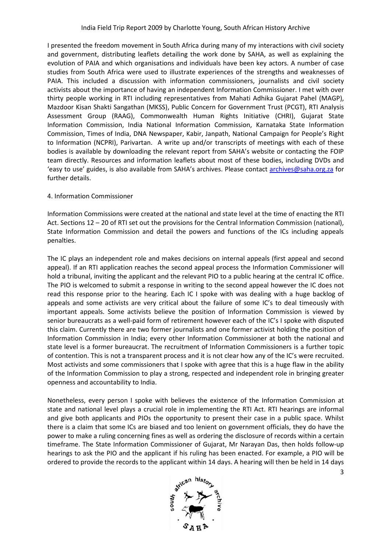I presented the freedom movement in South Africa during many of my interactions with civil society and government, distributing leaflets detailing the work done by SAHA, as well as explaining the evolution of PAIA and which organisations and individuals have been key actors. A number of case studies from South Africa were used to illustrate experiences of the strengths and weaknesses of PAIA. This included a discussion with information commissioners, journalists and civil society activists about the importance of having an independent Information Commissioner Commissioner. I met with over thirty people working in RTI including representatives from Mahati Adhika Gujarat Pahel (MAGP), Mazdoor Kisan Shakti Sangathan (MKSS), Public Concern for Government Trust (PCGT), RTI Analysis Assessment Group (RAAG), Commonwealth Human Rights Initiative (CHRI), Gujarat State Information Commission, India National Information Commission, Karnataka State Information Commission, Times of India, DNA Newspaper, Kabir, Janpath, National Campaign for People's Right to Information (NCPRI), Parivartan. A write up and/or transcripts of meetings with each of these bodies is available by downloading the relevant report from SAHA's website or contacting the FOIP team directly. Resources and information leaflets about most of these bodies, including DVDs and 'easy to use' guides, is also available from SAHA's archives. Please contact **archives@saha.org.za** for further details. er, Kabir, Janpath, National Campaign for People's Right<br>e up and/or transcripts of meetings with each of these<br>vant report from SAHA's website or contacting the FOIP

## 4. Information Commissioner

Information Commissions were created at the national and state level at the time of enacting the RTI Act. Sections 12 – 20 of RTI set out the provisions for the Central Information Commission (national), State Information Commission and detail the powers and functions of the ICs including appeals penalties.

The IC plays an independent role and makes decisions on internal appeals (first appeal and second appeal). If an RTI application reaches the second appeal process the Information Commissioner will hold a tribunal, inviting the applicant and the relevant PIO to a public hearing at the central IC office. The PIO is welcomed to submit a response in writing to the second appeal however the IC does not read this response prior to the hearing. Each IC I spoke with was dealing with a huge backlog of appeals and some activists are very critical about the failure of some IC's to deal timeously with important appeals. Some activists believe the position of Information Commission is viewed by senior bureaucrats as a well-paid form of retirement however each of the IC's I spoke with disputed this claim. Currently there are two former journalists and one former activist holding the position of Information Commission in India; every other Information Commissioner at both the national and state level is a former bureaucrat. The recruitment of Information Commissioners is a further topic of contention. This is not a transparent process and it is not clear how any of the IC's were recruited. Most activists and some commissioners that I spoke with agree that this is a huge flaw in the ability of the Information Commission to play a strong, respected and independent role in bringing greater openness and accountability to India. e Information Commission and detail the powers and functions of the ICs including appeals<br>alties.<br>IC plays an independent role and makes decisions on internal appeals (first appeal and second<br>eal). If an RTI application re expansion bureaucrats as a well-paid form of retirement however each of the IC's I spoke with disputed<br>is claim. Currently there are two former journalists and one former activist holding the position of<br>formation Commissi

Nonetheless, every person I spoke with believes the existence of the Information Commission at state and national level plays a crucial role in implementing the RTI Act. RTI hearings are informal and give both applicants and PIOs the opportunity to present their case in a public space. Whilst there is a claim that some ICs are biased and too lenient on government officials, they do have the power to make a ruling concerning fines as well as ordering the disclosure of records within a certain timeframe. The State Information Commissioner of Gujarat, Mr Narayan Das, then holds follow-up hearings to ask the PIO and the applicant if his ruling has been enacted. For example, a PIO will be timeframe. The State Information Commissioner of Gujarat, Mr Narayan Das, then holds follow-up<br>hearings to ask the PIO and the applicant if his ruling has been enacted. For example, a PIO will be<br>ordered to provide the rec



3